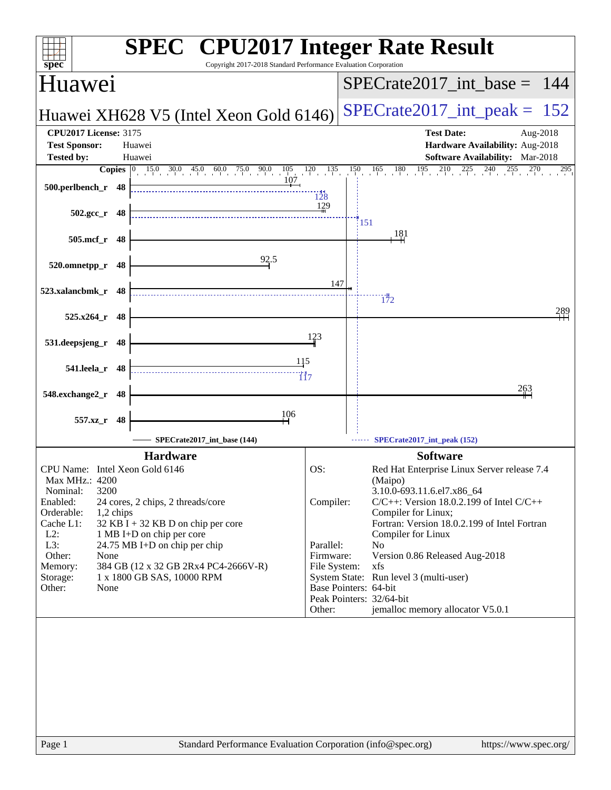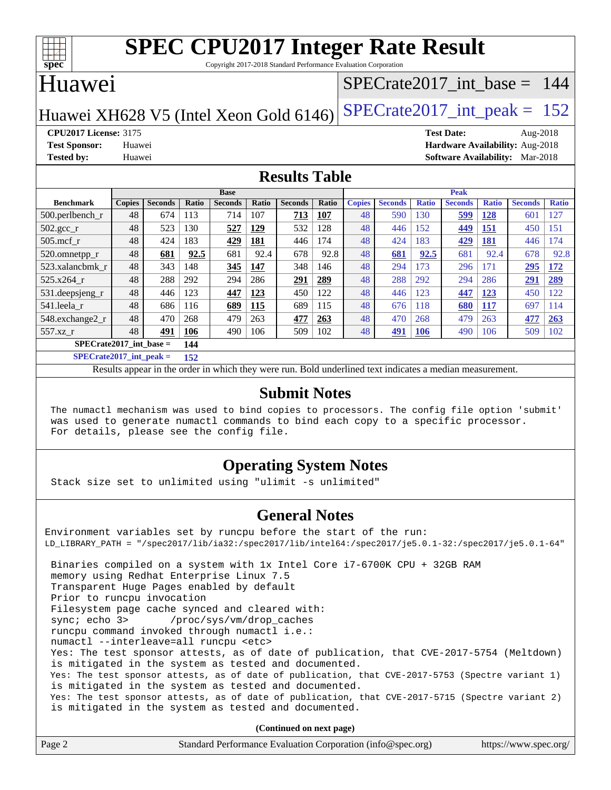

Copyright 2017-2018 Standard Performance Evaluation Corporation

### Huawei

#### [SPECrate2017\\_int\\_base =](http://www.spec.org/auto/cpu2017/Docs/result-fields.html#SPECrate2017intbase) 144

Huawei XH628 V5 (Intel Xeon Gold  $6146$ ) [SPECrate2017\\_int\\_peak =](http://www.spec.org/auto/cpu2017/Docs/result-fields.html#SPECrate2017intpeak) 152

**[CPU2017 License:](http://www.spec.org/auto/cpu2017/Docs/result-fields.html#CPU2017License)** 3175 **[Test Date:](http://www.spec.org/auto/cpu2017/Docs/result-fields.html#TestDate)** Aug-2018 **[Test Sponsor:](http://www.spec.org/auto/cpu2017/Docs/result-fields.html#TestSponsor)** Huawei **[Hardware Availability:](http://www.spec.org/auto/cpu2017/Docs/result-fields.html#HardwareAvailability)** Aug-2018 **[Tested by:](http://www.spec.org/auto/cpu2017/Docs/result-fields.html#Testedby)** Huawei **[Software Availability:](http://www.spec.org/auto/cpu2017/Docs/result-fields.html#SoftwareAvailability)** Mar-2018

#### **[Results Table](http://www.spec.org/auto/cpu2017/Docs/result-fields.html#ResultsTable)**

|                                  | <b>Base</b>   |                |       |                |       |                | <b>Peak</b>  |               |                |              |                |              |                |              |
|----------------------------------|---------------|----------------|-------|----------------|-------|----------------|--------------|---------------|----------------|--------------|----------------|--------------|----------------|--------------|
| <b>Benchmark</b>                 | <b>Copies</b> | <b>Seconds</b> | Ratio | <b>Seconds</b> | Ratio | <b>Seconds</b> | <b>Ratio</b> | <b>Copies</b> | <b>Seconds</b> | <b>Ratio</b> | <b>Seconds</b> | <b>Ratio</b> | <b>Seconds</b> | <b>Ratio</b> |
| $500$ .perlbench r               | 48            | 674            | 113   | 714            | 107   | 713            | 107          | 48            | 590            | 130          | 599            | 128          | 601            | .27          |
| $502.\text{sec}$                 | 48            | 523            | 130   | 527            | 129   | 532            | 128          | 48            | 446            | 152          | 449            | 151          | 450            | 151          |
| $505$ .mcf r                     | 48            | 424            | 183   | 429            | 181   | 446            | 174          | 48            | 424            | 183          | 429            | <b>181</b>   | 446            | 74           |
| 520.omnetpp_r                    | 48            | 681            | 92.5  | 681            | 92.4  | 678            | 92.8         | 48            | 681            | 92.5         | 681            | 92.4         | 678            | 92.8         |
| 523.xalancbmk r                  | 48            | 343            | 148   | 345            | 147   | 348            | 146          | 48            | 294            | 173          | 296            | 171          | 295            | 172          |
| 525.x264 r                       | 48            | 288            | 292   | 294            | 286   | 291            | 289          | 48            | 288            | 292          | 294            | 286          | 291            | 289          |
| 531.deepsjeng_r                  | 48            | 446            | 123   | 447            | 123   | 450            | 122          | 48            | 446            | 123          | 447            | 123          | 450            | 122          |
| 541.leela r                      | 48            | 686            | 116   | 689            | 115   | 689            | 115          | 48            | 676            | 118          | 680            | 117          | 697            | 114          |
| 548.exchange2_r                  | 48            | 470            | 268   | 479            | 263   | 477            | 263          | 48            | 470            | 268          | 479            | 263          | 477            | 263          |
| $557.xz$ r                       | 48            | 491            | 106   | 490            | 106   | 509            | 102          | 48            | 491            | <b>106</b>   | 490            | 106          | 509            | 102          |
| $SPECrate2017$ int base =<br>144 |               |                |       |                |       |                |              |               |                |              |                |              |                |              |

**[SPECrate2017\\_int\\_peak =](http://www.spec.org/auto/cpu2017/Docs/result-fields.html#SPECrate2017intpeak) 152**

Results appear in the [order in which they were run.](http://www.spec.org/auto/cpu2017/Docs/result-fields.html#RunOrder) Bold underlined text [indicates a median measurement.](http://www.spec.org/auto/cpu2017/Docs/result-fields.html#Median)

#### **[Submit Notes](http://www.spec.org/auto/cpu2017/Docs/result-fields.html#SubmitNotes)**

 The numactl mechanism was used to bind copies to processors. The config file option 'submit' was used to generate numactl commands to bind each copy to a specific processor. For details, please see the config file.

#### **[Operating System Notes](http://www.spec.org/auto/cpu2017/Docs/result-fields.html#OperatingSystemNotes)**

Stack size set to unlimited using "ulimit -s unlimited"

#### **[General Notes](http://www.spec.org/auto/cpu2017/Docs/result-fields.html#GeneralNotes)**

Environment variables set by runcpu before the start of the run: LD\_LIBRARY\_PATH = "/spec2017/lib/ia32:/spec2017/lib/intel64:/spec2017/je5.0.1-32:/spec2017/je5.0.1-64" Binaries compiled on a system with 1x Intel Core i7-6700K CPU + 32GB RAM memory using Redhat Enterprise Linux 7.5 Transparent Huge Pages enabled by default Prior to runcpu invocation Filesystem page cache synced and cleared with: sync; echo 3> /proc/sys/vm/drop\_caches runcpu command invoked through numactl i.e.: numactl --interleave=all runcpu <etc> Yes: The test sponsor attests, as of date of publication, that CVE-2017-5754 (Meltdown) is mitigated in the system as tested and documented. Yes: The test sponsor attests, as of date of publication, that CVE-2017-5753 (Spectre variant 1) is mitigated in the system as tested and documented. Yes: The test sponsor attests, as of date of publication, that CVE-2017-5715 (Spectre variant 2) is mitigated in the system as tested and documented.

**(Continued on next page)**

| Page 2<br>Standard Performance Evaluation Corporation (info@spec.org)<br>https://www.spec.org/ |
|------------------------------------------------------------------------------------------------|
|------------------------------------------------------------------------------------------------|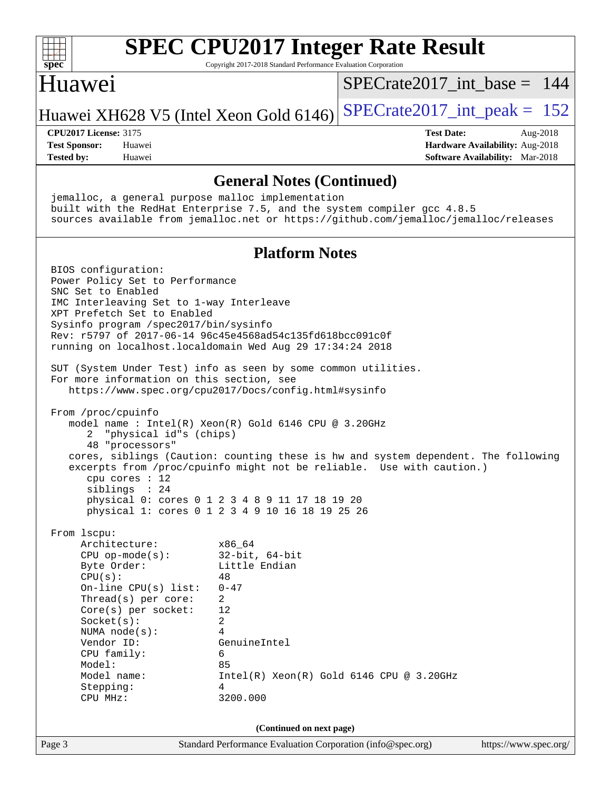

Page 3 Standard Performance Evaluation Corporation [\(info@spec.org\)](mailto:info@spec.org) <https://www.spec.org/>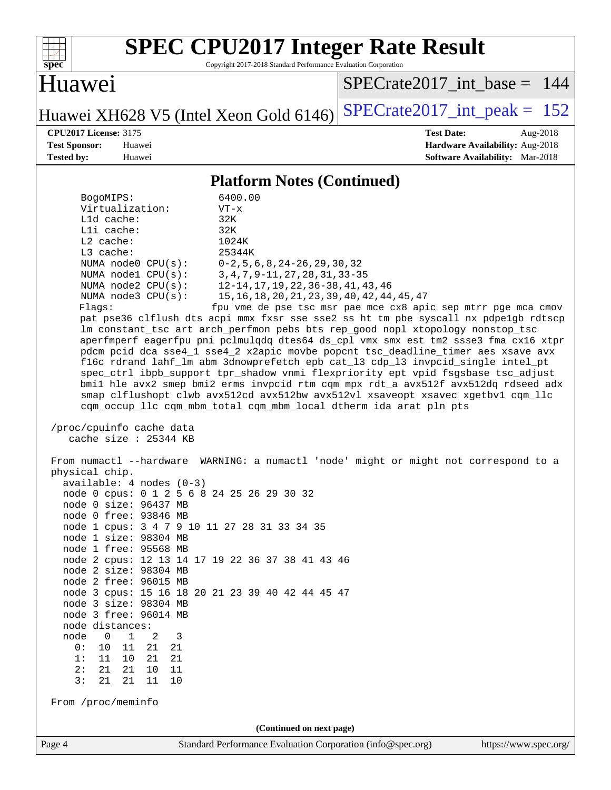

Copyright 2017-2018 Standard Performance Evaluation Corporation

#### Huawei

[SPECrate2017\\_int\\_base =](http://www.spec.org/auto/cpu2017/Docs/result-fields.html#SPECrate2017intbase) 144

Huawei XH628 V5 (Intel Xeon Gold 6146) SPECrate  $2017$ \_int\_peak = 152

**[CPU2017 License:](http://www.spec.org/auto/cpu2017/Docs/result-fields.html#CPU2017License)** 3175 **[Test Date:](http://www.spec.org/auto/cpu2017/Docs/result-fields.html#TestDate)** Aug-2018 **[Test Sponsor:](http://www.spec.org/auto/cpu2017/Docs/result-fields.html#TestSponsor)** Huawei **[Hardware Availability:](http://www.spec.org/auto/cpu2017/Docs/result-fields.html#HardwareAvailability)** Aug-2018 **[Tested by:](http://www.spec.org/auto/cpu2017/Docs/result-fields.html#Testedby)** Huawei **[Software Availability:](http://www.spec.org/auto/cpu2017/Docs/result-fields.html#SoftwareAvailability)** Mar-2018

#### **[Platform Notes \(Continued\)](http://www.spec.org/auto/cpu2017/Docs/result-fields.html#PlatformNotes)**

| BogoMIPS:                | 6400.00                                                                             |
|--------------------------|-------------------------------------------------------------------------------------|
| Virtualization:          | $VT - x$                                                                            |
| L1d cache:               | 32K                                                                                 |
| Lli cache:               | 32K                                                                                 |
| $L2$ cache:              | 1024K                                                                               |
| $L3$ cache:              | 25344K                                                                              |
|                          | NUMA node0 $CPU(s):$ $0-2, 5, 6, 8, 24-26, 29, 30, 32$                              |
|                          | NUMA nodel CPU(s): 3, 4, 7, 9-11, 27, 28, 31, 33-35                                 |
|                          | NUMA node2 CPU(s): 12-14, 17, 19, 22, 36-38, 41, 43, 46                             |
|                          | NUMA node3 CPU(s): 15, 16, 18, 20, 21, 23, 39, 40, 42, 44, 45, 47                   |
| Flaqs:                   | fpu vme de pse tsc msr pae mce cx8 apic sep mtrr pqe mca cmov                       |
|                          | pat pse36 clflush dts acpi mmx fxsr sse sse2 ss ht tm pbe syscall nx pdpe1gb rdtscp |
|                          | Im constant tsc art arch perfmon pebs bts rep good nopl xtopology nonstop tsc       |
|                          | aperfmperf eagerfpu pni pclmulgdg dtes64 ds cpl vmx smx est tm2 ssse3 fma cx16 xtpr |
|                          | pdcm pcid dca sse4_1 sse4_2 x2apic movbe popcnt tsc_deadline_timer aes xsave avx    |
|                          | fl6c rdrand lahf lm abm 3dnowprefetch epb cat 13 cdp 13 invpcid single intel pt     |
|                          | spec_ctrl ibpb_support tpr_shadow vnmi flexpriority ept vpid fsgsbase tsc_adjust    |
|                          | bmil hle avx2 smep bmi2 erms invpcid rtm cqm mpx rdt_a avx512f avx512dq rdseed adx  |
|                          | smap clflushopt clwb avx512cd avx512bw avx512vl xsaveopt xsavec xgetbvl cqm llc     |
|                          | com occup llc com mbm total com mbm local dtherm ida arat pln pts                   |
| /proc/cpuinfo cache data |                                                                                     |
| cache size : $25344$ KB  |                                                                                     |
|                          |                                                                                     |

 From numactl --hardware WARNING: a numactl 'node' might or might not correspond to a physical chip. available: 4 nodes (0-3) node 0 cpus: 0 1 2 5 6 8 24 25 26 29 30 32 node 0 size: 96437 MB node 0 free: 93846 MB node 1 cpus: 3 4 7 9 10 11 27 28 31 33 34 35 node 1 size: 98304 MB node 1 free: 95568 MB node 2 cpus: 12 13 14 17 19 22 36 37 38 41 43 46 node 2 size: 98304 MB node 2 free: 96015 MB node 3 cpus: 15 16 18 20 21 23 39 40 42 44 45 47 node 3 size: 98304 MB node 3 free: 96014 MB node distances: node 0 1 2 3  $\begin{array}{cccccc} 0: & 10 & 11 & 21 & 21 \\ 1: & 11 & 10 & 21 & 21 \end{array}$  1: 11 10 21 21 2: 21 21 10 11 3: 21 21 11 10 From /proc/meminfo **(Continued on next page)**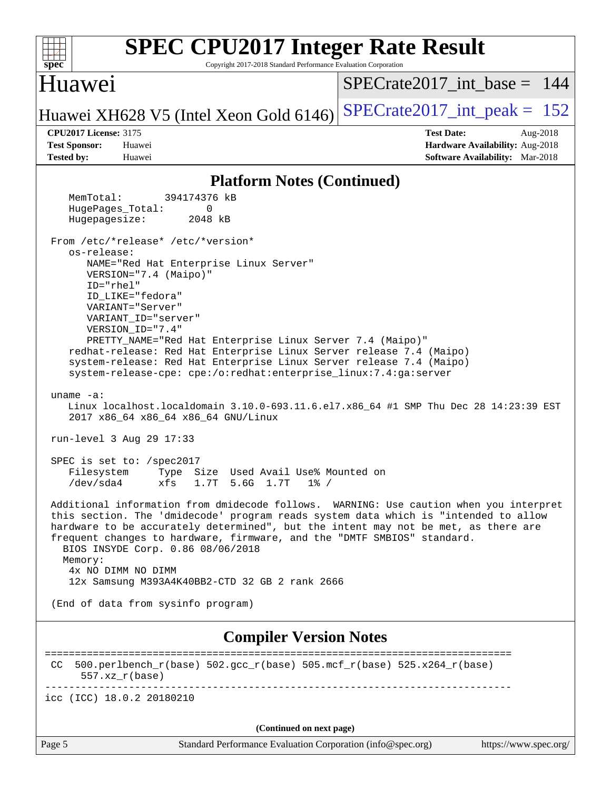| <b>SPEC CPU2017 Integer Rate Result</b><br>Copyright 2017-2018 Standard Performance Evaluation Corporation<br>$spec^*$                                                                                                                                                                                                                                                                                                                                                                                                                                                                                                                              |                                                                           |  |  |  |  |
|-----------------------------------------------------------------------------------------------------------------------------------------------------------------------------------------------------------------------------------------------------------------------------------------------------------------------------------------------------------------------------------------------------------------------------------------------------------------------------------------------------------------------------------------------------------------------------------------------------------------------------------------------------|---------------------------------------------------------------------------|--|--|--|--|
| Huawei                                                                                                                                                                                                                                                                                                                                                                                                                                                                                                                                                                                                                                              | $SPECrate2017\_int\_base = 144$                                           |  |  |  |  |
| Huawei XH628 V5 (Intel Xeon Gold 6146)                                                                                                                                                                                                                                                                                                                                                                                                                                                                                                                                                                                                              | $SPECrate2017\_int\_peak = 152$                                           |  |  |  |  |
| <b>CPU2017 License: 3175</b>                                                                                                                                                                                                                                                                                                                                                                                                                                                                                                                                                                                                                        | <b>Test Date:</b><br>Aug-2018                                             |  |  |  |  |
| <b>Test Sponsor:</b><br>Huawei<br><b>Tested by:</b><br>Huawei                                                                                                                                                                                                                                                                                                                                                                                                                                                                                                                                                                                       | Hardware Availability: Aug-2018<br><b>Software Availability:</b> Mar-2018 |  |  |  |  |
| <b>Platform Notes (Continued)</b>                                                                                                                                                                                                                                                                                                                                                                                                                                                                                                                                                                                                                   |                                                                           |  |  |  |  |
| 394174376 kB<br>MemTotal:                                                                                                                                                                                                                                                                                                                                                                                                                                                                                                                                                                                                                           |                                                                           |  |  |  |  |
| HugePages_Total:<br>0<br>Hugepagesize:<br>2048 kB                                                                                                                                                                                                                                                                                                                                                                                                                                                                                                                                                                                                   |                                                                           |  |  |  |  |
| From /etc/*release* /etc/*version*<br>os-release:<br>NAME="Red Hat Enterprise Linux Server"<br>VERSION="7.4 (Maipo)"<br>ID="rhel"<br>ID LIKE="fedora"<br>VARIANT="Server"<br>VARIANT_ID="server"<br>VERSION_ID="7.4"<br>PRETTY_NAME="Red Hat Enterprise Linux Server 7.4 (Maipo)"<br>redhat-release: Red Hat Enterprise Linux Server release 7.4 (Maipo)<br>system-release: Red Hat Enterprise Linux Server release 7.4 (Maipo)<br>system-release-cpe: cpe:/o:redhat:enterprise_linux:7.4:ga:server<br>uname $-a$ :<br>Linux localhost.localdomain 3.10.0-693.11.6.el7.x86_64 #1 SMP Thu Dec 28 14:23:39 EST<br>2017 x86_64 x86_64 x86_64 GNU/Linux |                                                                           |  |  |  |  |
| run-level 3 Aug 29 17:33                                                                                                                                                                                                                                                                                                                                                                                                                                                                                                                                                                                                                            |                                                                           |  |  |  |  |
| SPEC is set to: /spec2017<br>Filesystem<br>Type Size Used Avail Use% Mounted on<br>1.7T 5.6G 1.7T 1% /<br>/dev/sda4<br>xts                                                                                                                                                                                                                                                                                                                                                                                                                                                                                                                          |                                                                           |  |  |  |  |
| Additional information from dmidecode follows. WARNING: Use caution when you interpret<br>this section. The 'dmidecode' program reads system data which is "intended to allow<br>hardware to be accurately determined", but the intent may not be met, as there are<br>frequent changes to hardware, firmware, and the "DMTF SMBIOS" standard.<br>BIOS INSYDE Corp. 0.86 08/06/2018<br>Memory:<br>4x NO DIMM NO DIMM<br>12x Samsung M393A4K40BB2-CTD 32 GB 2 rank 2666                                                                                                                                                                              |                                                                           |  |  |  |  |
| (End of data from sysinfo program)                                                                                                                                                                                                                                                                                                                                                                                                                                                                                                                                                                                                                  |                                                                           |  |  |  |  |
| <b>Compiler Version Notes</b>                                                                                                                                                                                                                                                                                                                                                                                                                                                                                                                                                                                                                       |                                                                           |  |  |  |  |
| ============================<br>$500.perlbench_r(base) 502.gcc_r(base) 505.mcf_r(base) 525.x264_r(base)$<br>CC.<br>$557. xz_r(base)$                                                                                                                                                                                                                                                                                                                                                                                                                                                                                                                | -----------------------------------                                       |  |  |  |  |
| icc (ICC) 18.0.2 20180210                                                                                                                                                                                                                                                                                                                                                                                                                                                                                                                                                                                                                           |                                                                           |  |  |  |  |
| (Continued on next page)                                                                                                                                                                                                                                                                                                                                                                                                                                                                                                                                                                                                                            |                                                                           |  |  |  |  |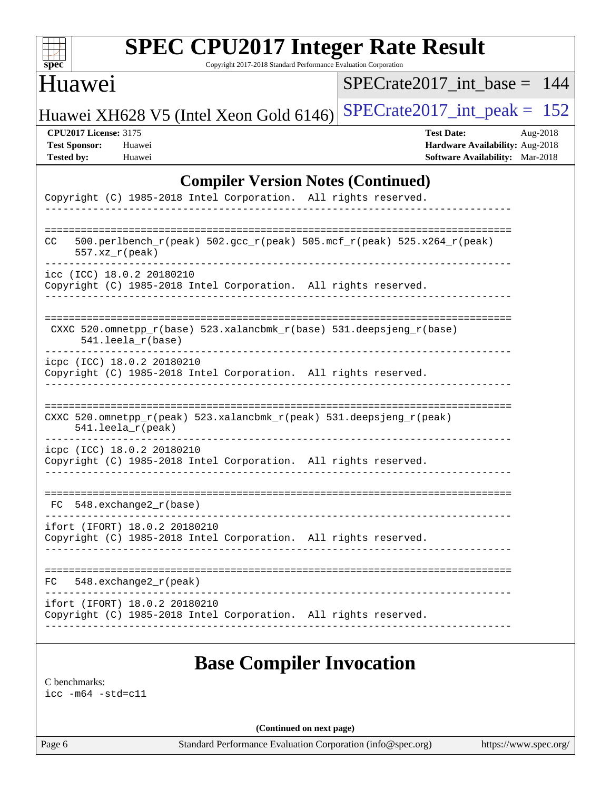| S.<br>e<br>L.<br>L.<br>ĉ |  |  |  |  |  |
|--------------------------|--|--|--|--|--|

Copyright 2017-2018 Standard Performance Evaluation Corporation

## Huawei

[SPECrate2017\\_int\\_base =](http://www.spec.org/auto/cpu2017/Docs/result-fields.html#SPECrate2017intbase) 144

Huawei XH628 V5 (Intel Xeon Gold 6146) SPECrate  $2017$  int peak = 152

**[CPU2017 License:](http://www.spec.org/auto/cpu2017/Docs/result-fields.html#CPU2017License)** 3175 **[Test Date:](http://www.spec.org/auto/cpu2017/Docs/result-fields.html#TestDate)** Aug-2018 **[Test Sponsor:](http://www.spec.org/auto/cpu2017/Docs/result-fields.html#TestSponsor)** Huawei **[Hardware Availability:](http://www.spec.org/auto/cpu2017/Docs/result-fields.html#HardwareAvailability)** Aug-2018 **[Tested by:](http://www.spec.org/auto/cpu2017/Docs/result-fields.html#Testedby)** Huawei **[Software Availability:](http://www.spec.org/auto/cpu2017/Docs/result-fields.html#SoftwareAvailability)** Mar-2018

#### **[Compiler Version Notes \(Continued\)](http://www.spec.org/auto/cpu2017/Docs/result-fields.html#CompilerVersionNotes)**

|     | Copyright (C) 1985-2018 Intel Corporation. All rights reserved.                                  |                 |
|-----|--------------------------------------------------------------------------------------------------|-----------------|
| CC. | 500.perlbench_r(peak) 502.gcc_r(peak) 505.mcf_r(peak) 525.x264_r(peak)<br>$557. xz_r (peak)$     |                 |
|     | icc (ICC) 18.0.2 20180210<br>Copyright (C) 1985-2018 Intel Corporation. All rights reserved.     |                 |
|     | CXXC 520.omnetpp_r(base) 523.xalancbmk_r(base) 531.deepsjeng_r(base)<br>$541.$ leela_r(base)     | --------------- |
|     | icpc (ICC) 18.0.2 20180210<br>Copyright (C) 1985-2018 Intel Corporation. All rights reserved.    |                 |
|     | CXXC 520.omnetpp_r(peak) 523.xalancbmk_r(peak) 531.deepsjeng_r(peak)<br>$541.$ leela_r(peak)     |                 |
|     | icpc (ICC) 18.0.2 20180210<br>Copyright (C) 1985-2018 Intel Corporation. All rights reserved.    |                 |
|     | $FC 548. exchange2_r(base)$                                                                      |                 |
|     | ifort (IFORT) 18.0.2 20180210<br>Copyright (C) 1985-2018 Intel Corporation. All rights reserved. |                 |
|     | FC 548.exchange2_r(peak)                                                                         |                 |
|     | ifort (IFORT) 18.0.2 20180210<br>Copyright (C) 1985-2018 Intel Corporation. All rights reserved. |                 |
|     |                                                                                                  |                 |

### **[Base Compiler Invocation](http://www.spec.org/auto/cpu2017/Docs/result-fields.html#BaseCompilerInvocation)**

[C benchmarks](http://www.spec.org/auto/cpu2017/Docs/result-fields.html#Cbenchmarks):

[icc -m64 -std=c11](http://www.spec.org/cpu2017/results/res2018q4/cpu2017-20181025-09304.flags.html#user_CCbase_intel_icc_64bit_c11_33ee0cdaae7deeeab2a9725423ba97205ce30f63b9926c2519791662299b76a0318f32ddfffdc46587804de3178b4f9328c46fa7c2b0cd779d7a61945c91cd35)

**(Continued on next page)**

Page 6 Standard Performance Evaluation Corporation [\(info@spec.org\)](mailto:info@spec.org) <https://www.spec.org/>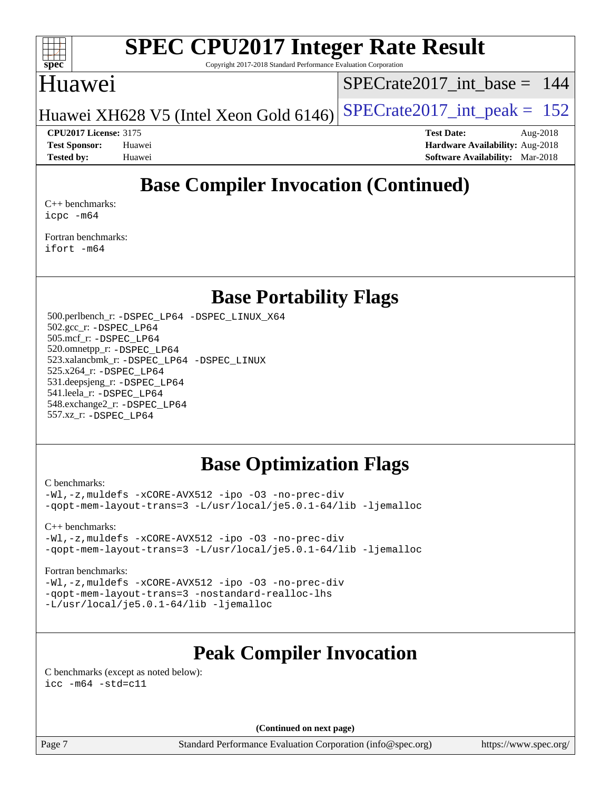

Copyright 2017-2018 Standard Performance Evaluation Corporation

### Huawei

[SPECrate2017\\_int\\_base =](http://www.spec.org/auto/cpu2017/Docs/result-fields.html#SPECrate2017intbase) 144

Huawei XH628 V5 (Intel Xeon Gold  $6146$ ) [SPECrate2017\\_int\\_peak =](http://www.spec.org/auto/cpu2017/Docs/result-fields.html#SPECrate2017intpeak) 152

**[Tested by:](http://www.spec.org/auto/cpu2017/Docs/result-fields.html#Testedby)** Huawei **[Software Availability:](http://www.spec.org/auto/cpu2017/Docs/result-fields.html#SoftwareAvailability)** Mar-2018

**[CPU2017 License:](http://www.spec.org/auto/cpu2017/Docs/result-fields.html#CPU2017License)** 3175 **[Test Date:](http://www.spec.org/auto/cpu2017/Docs/result-fields.html#TestDate)** Aug-2018 **[Test Sponsor:](http://www.spec.org/auto/cpu2017/Docs/result-fields.html#TestSponsor)** Huawei **[Hardware Availability:](http://www.spec.org/auto/cpu2017/Docs/result-fields.html#HardwareAvailability)** Aug-2018

## **[Base Compiler Invocation \(Continued\)](http://www.spec.org/auto/cpu2017/Docs/result-fields.html#BaseCompilerInvocation)**

[C++ benchmarks:](http://www.spec.org/auto/cpu2017/Docs/result-fields.html#CXXbenchmarks) [icpc -m64](http://www.spec.org/cpu2017/results/res2018q4/cpu2017-20181025-09304.flags.html#user_CXXbase_intel_icpc_64bit_4ecb2543ae3f1412ef961e0650ca070fec7b7afdcd6ed48761b84423119d1bf6bdf5cad15b44d48e7256388bc77273b966e5eb805aefd121eb22e9299b2ec9d9)

[Fortran benchmarks](http://www.spec.org/auto/cpu2017/Docs/result-fields.html#Fortranbenchmarks): [ifort -m64](http://www.spec.org/cpu2017/results/res2018q4/cpu2017-20181025-09304.flags.html#user_FCbase_intel_ifort_64bit_24f2bb282fbaeffd6157abe4f878425411749daecae9a33200eee2bee2fe76f3b89351d69a8130dd5949958ce389cf37ff59a95e7a40d588e8d3a57e0c3fd751)

### **[Base Portability Flags](http://www.spec.org/auto/cpu2017/Docs/result-fields.html#BasePortabilityFlags)**

 500.perlbench\_r: [-DSPEC\\_LP64](http://www.spec.org/cpu2017/results/res2018q4/cpu2017-20181025-09304.flags.html#b500.perlbench_r_basePORTABILITY_DSPEC_LP64) [-DSPEC\\_LINUX\\_X64](http://www.spec.org/cpu2017/results/res2018q4/cpu2017-20181025-09304.flags.html#b500.perlbench_r_baseCPORTABILITY_DSPEC_LINUX_X64) 502.gcc\_r: [-DSPEC\\_LP64](http://www.spec.org/cpu2017/results/res2018q4/cpu2017-20181025-09304.flags.html#suite_basePORTABILITY502_gcc_r_DSPEC_LP64) 505.mcf\_r: [-DSPEC\\_LP64](http://www.spec.org/cpu2017/results/res2018q4/cpu2017-20181025-09304.flags.html#suite_basePORTABILITY505_mcf_r_DSPEC_LP64) 520.omnetpp\_r: [-DSPEC\\_LP64](http://www.spec.org/cpu2017/results/res2018q4/cpu2017-20181025-09304.flags.html#suite_basePORTABILITY520_omnetpp_r_DSPEC_LP64) 523.xalancbmk\_r: [-DSPEC\\_LP64](http://www.spec.org/cpu2017/results/res2018q4/cpu2017-20181025-09304.flags.html#suite_basePORTABILITY523_xalancbmk_r_DSPEC_LP64) [-DSPEC\\_LINUX](http://www.spec.org/cpu2017/results/res2018q4/cpu2017-20181025-09304.flags.html#b523.xalancbmk_r_baseCXXPORTABILITY_DSPEC_LINUX) 525.x264\_r: [-DSPEC\\_LP64](http://www.spec.org/cpu2017/results/res2018q4/cpu2017-20181025-09304.flags.html#suite_basePORTABILITY525_x264_r_DSPEC_LP64) 531.deepsjeng\_r: [-DSPEC\\_LP64](http://www.spec.org/cpu2017/results/res2018q4/cpu2017-20181025-09304.flags.html#suite_basePORTABILITY531_deepsjeng_r_DSPEC_LP64) 541.leela\_r: [-DSPEC\\_LP64](http://www.spec.org/cpu2017/results/res2018q4/cpu2017-20181025-09304.flags.html#suite_basePORTABILITY541_leela_r_DSPEC_LP64) 548.exchange2\_r: [-DSPEC\\_LP64](http://www.spec.org/cpu2017/results/res2018q4/cpu2017-20181025-09304.flags.html#suite_basePORTABILITY548_exchange2_r_DSPEC_LP64) 557.xz\_r: [-DSPEC\\_LP64](http://www.spec.org/cpu2017/results/res2018q4/cpu2017-20181025-09304.flags.html#suite_basePORTABILITY557_xz_r_DSPEC_LP64)

## **[Base Optimization Flags](http://www.spec.org/auto/cpu2017/Docs/result-fields.html#BaseOptimizationFlags)**

[C benchmarks](http://www.spec.org/auto/cpu2017/Docs/result-fields.html#Cbenchmarks):

[-Wl,-z,muldefs](http://www.spec.org/cpu2017/results/res2018q4/cpu2017-20181025-09304.flags.html#user_CCbase_link_force_multiple1_b4cbdb97b34bdee9ceefcfe54f4c8ea74255f0b02a4b23e853cdb0e18eb4525ac79b5a88067c842dd0ee6996c24547a27a4b99331201badda8798ef8a743f577) [-xCORE-AVX512](http://www.spec.org/cpu2017/results/res2018q4/cpu2017-20181025-09304.flags.html#user_CCbase_f-xCORE-AVX512) [-ipo](http://www.spec.org/cpu2017/results/res2018q4/cpu2017-20181025-09304.flags.html#user_CCbase_f-ipo) [-O3](http://www.spec.org/cpu2017/results/res2018q4/cpu2017-20181025-09304.flags.html#user_CCbase_f-O3) [-no-prec-div](http://www.spec.org/cpu2017/results/res2018q4/cpu2017-20181025-09304.flags.html#user_CCbase_f-no-prec-div) [-qopt-mem-layout-trans=3](http://www.spec.org/cpu2017/results/res2018q4/cpu2017-20181025-09304.flags.html#user_CCbase_f-qopt-mem-layout-trans_de80db37974c74b1f0e20d883f0b675c88c3b01e9d123adea9b28688d64333345fb62bc4a798493513fdb68f60282f9a726aa07f478b2f7113531aecce732043) [-L/usr/local/je5.0.1-64/lib](http://www.spec.org/cpu2017/results/res2018q4/cpu2017-20181025-09304.flags.html#user_CCbase_jemalloc_link_path64_4b10a636b7bce113509b17f3bd0d6226c5fb2346b9178c2d0232c14f04ab830f976640479e5c33dc2bcbbdad86ecfb6634cbbd4418746f06f368b512fced5394) [-ljemalloc](http://www.spec.org/cpu2017/results/res2018q4/cpu2017-20181025-09304.flags.html#user_CCbase_jemalloc_link_lib_d1249b907c500fa1c0672f44f562e3d0f79738ae9e3c4a9c376d49f265a04b9c99b167ecedbf6711b3085be911c67ff61f150a17b3472be731631ba4d0471706)

[C++ benchmarks:](http://www.spec.org/auto/cpu2017/Docs/result-fields.html#CXXbenchmarks)

[-Wl,-z,muldefs](http://www.spec.org/cpu2017/results/res2018q4/cpu2017-20181025-09304.flags.html#user_CXXbase_link_force_multiple1_b4cbdb97b34bdee9ceefcfe54f4c8ea74255f0b02a4b23e853cdb0e18eb4525ac79b5a88067c842dd0ee6996c24547a27a4b99331201badda8798ef8a743f577) [-xCORE-AVX512](http://www.spec.org/cpu2017/results/res2018q4/cpu2017-20181025-09304.flags.html#user_CXXbase_f-xCORE-AVX512) [-ipo](http://www.spec.org/cpu2017/results/res2018q4/cpu2017-20181025-09304.flags.html#user_CXXbase_f-ipo) [-O3](http://www.spec.org/cpu2017/results/res2018q4/cpu2017-20181025-09304.flags.html#user_CXXbase_f-O3) [-no-prec-div](http://www.spec.org/cpu2017/results/res2018q4/cpu2017-20181025-09304.flags.html#user_CXXbase_f-no-prec-div) [-qopt-mem-layout-trans=3](http://www.spec.org/cpu2017/results/res2018q4/cpu2017-20181025-09304.flags.html#user_CXXbase_f-qopt-mem-layout-trans_de80db37974c74b1f0e20d883f0b675c88c3b01e9d123adea9b28688d64333345fb62bc4a798493513fdb68f60282f9a726aa07f478b2f7113531aecce732043) [-L/usr/local/je5.0.1-64/lib](http://www.spec.org/cpu2017/results/res2018q4/cpu2017-20181025-09304.flags.html#user_CXXbase_jemalloc_link_path64_4b10a636b7bce113509b17f3bd0d6226c5fb2346b9178c2d0232c14f04ab830f976640479e5c33dc2bcbbdad86ecfb6634cbbd4418746f06f368b512fced5394) [-ljemalloc](http://www.spec.org/cpu2017/results/res2018q4/cpu2017-20181025-09304.flags.html#user_CXXbase_jemalloc_link_lib_d1249b907c500fa1c0672f44f562e3d0f79738ae9e3c4a9c376d49f265a04b9c99b167ecedbf6711b3085be911c67ff61f150a17b3472be731631ba4d0471706)

#### [Fortran benchmarks](http://www.spec.org/auto/cpu2017/Docs/result-fields.html#Fortranbenchmarks):

[-Wl,-z,muldefs](http://www.spec.org/cpu2017/results/res2018q4/cpu2017-20181025-09304.flags.html#user_FCbase_link_force_multiple1_b4cbdb97b34bdee9ceefcfe54f4c8ea74255f0b02a4b23e853cdb0e18eb4525ac79b5a88067c842dd0ee6996c24547a27a4b99331201badda8798ef8a743f577) [-xCORE-AVX512](http://www.spec.org/cpu2017/results/res2018q4/cpu2017-20181025-09304.flags.html#user_FCbase_f-xCORE-AVX512) [-ipo](http://www.spec.org/cpu2017/results/res2018q4/cpu2017-20181025-09304.flags.html#user_FCbase_f-ipo) [-O3](http://www.spec.org/cpu2017/results/res2018q4/cpu2017-20181025-09304.flags.html#user_FCbase_f-O3) [-no-prec-div](http://www.spec.org/cpu2017/results/res2018q4/cpu2017-20181025-09304.flags.html#user_FCbase_f-no-prec-div) [-qopt-mem-layout-trans=3](http://www.spec.org/cpu2017/results/res2018q4/cpu2017-20181025-09304.flags.html#user_FCbase_f-qopt-mem-layout-trans_de80db37974c74b1f0e20d883f0b675c88c3b01e9d123adea9b28688d64333345fb62bc4a798493513fdb68f60282f9a726aa07f478b2f7113531aecce732043) [-nostandard-realloc-lhs](http://www.spec.org/cpu2017/results/res2018q4/cpu2017-20181025-09304.flags.html#user_FCbase_f_2003_std_realloc_82b4557e90729c0f113870c07e44d33d6f5a304b4f63d4c15d2d0f1fab99f5daaed73bdb9275d9ae411527f28b936061aa8b9c8f2d63842963b95c9dd6426b8a) [-L/usr/local/je5.0.1-64/lib](http://www.spec.org/cpu2017/results/res2018q4/cpu2017-20181025-09304.flags.html#user_FCbase_jemalloc_link_path64_4b10a636b7bce113509b17f3bd0d6226c5fb2346b9178c2d0232c14f04ab830f976640479e5c33dc2bcbbdad86ecfb6634cbbd4418746f06f368b512fced5394) [-ljemalloc](http://www.spec.org/cpu2017/results/res2018q4/cpu2017-20181025-09304.flags.html#user_FCbase_jemalloc_link_lib_d1249b907c500fa1c0672f44f562e3d0f79738ae9e3c4a9c376d49f265a04b9c99b167ecedbf6711b3085be911c67ff61f150a17b3472be731631ba4d0471706)

## **[Peak Compiler Invocation](http://www.spec.org/auto/cpu2017/Docs/result-fields.html#PeakCompilerInvocation)**

[C benchmarks \(except as noted below\)](http://www.spec.org/auto/cpu2017/Docs/result-fields.html#Cbenchmarksexceptasnotedbelow): [icc -m64 -std=c11](http://www.spec.org/cpu2017/results/res2018q4/cpu2017-20181025-09304.flags.html#user_CCpeak_intel_icc_64bit_c11_33ee0cdaae7deeeab2a9725423ba97205ce30f63b9926c2519791662299b76a0318f32ddfffdc46587804de3178b4f9328c46fa7c2b0cd779d7a61945c91cd35)

**(Continued on next page)**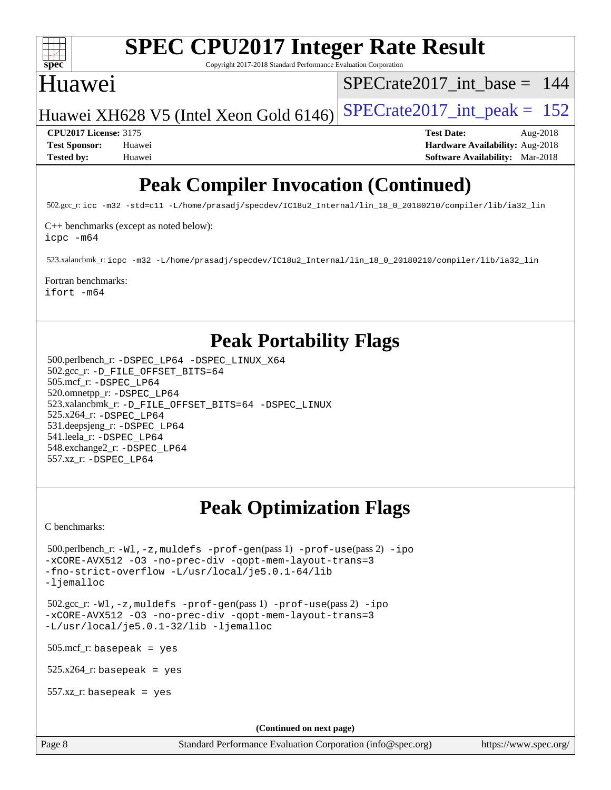

Copyright 2017-2018 Standard Performance Evaluation Corporation

## Huawei

[SPECrate2017\\_int\\_base =](http://www.spec.org/auto/cpu2017/Docs/result-fields.html#SPECrate2017intbase) 144

Huawei XH628 V5 (Intel Xeon Gold  $6146$ ) [SPECrate2017\\_int\\_peak =](http://www.spec.org/auto/cpu2017/Docs/result-fields.html#SPECrate2017intpeak) 152

**[CPU2017 License:](http://www.spec.org/auto/cpu2017/Docs/result-fields.html#CPU2017License)** 3175 **[Test Date:](http://www.spec.org/auto/cpu2017/Docs/result-fields.html#TestDate)** Aug-2018 **[Test Sponsor:](http://www.spec.org/auto/cpu2017/Docs/result-fields.html#TestSponsor)** Huawei **[Hardware Availability:](http://www.spec.org/auto/cpu2017/Docs/result-fields.html#HardwareAvailability)** Aug-2018 **[Tested by:](http://www.spec.org/auto/cpu2017/Docs/result-fields.html#Testedby)** Huawei **[Software Availability:](http://www.spec.org/auto/cpu2017/Docs/result-fields.html#SoftwareAvailability)** Mar-2018

## **[Peak Compiler Invocation \(Continued\)](http://www.spec.org/auto/cpu2017/Docs/result-fields.html#PeakCompilerInvocation)**

502.gcc\_r: [icc -m32 -std=c11 -L/home/prasadj/specdev/IC18u2\\_Internal/lin\\_18\\_0\\_20180210/compiler/lib/ia32\\_lin](http://www.spec.org/cpu2017/results/res2018q4/cpu2017-20181025-09304.flags.html#user_peakCCLD502_gcc_r_intel_icc_a481ac844e7127046fad14d498c730a1848fa901fbbb2c3dfdd5e9fbbac777c8009953946d55d8b6afe8ed0da70dd2b4f8dedbdf7ab1ee211ba70d24a5d89f85)

[C++ benchmarks \(except as noted below\):](http://www.spec.org/auto/cpu2017/Docs/result-fields.html#CXXbenchmarksexceptasnotedbelow)

[icpc -m64](http://www.spec.org/cpu2017/results/res2018q4/cpu2017-20181025-09304.flags.html#user_CXXpeak_intel_icpc_64bit_4ecb2543ae3f1412ef961e0650ca070fec7b7afdcd6ed48761b84423119d1bf6bdf5cad15b44d48e7256388bc77273b966e5eb805aefd121eb22e9299b2ec9d9)

523.xalancbmk\_r: [icpc -m32 -L/home/prasadj/specdev/IC18u2\\_Internal/lin\\_18\\_0\\_20180210/compiler/lib/ia32\\_lin](http://www.spec.org/cpu2017/results/res2018q4/cpu2017-20181025-09304.flags.html#user_peakCXXLD523_xalancbmk_r_intel_icpc_c6d030cd79af6ea7d6fb64c57e8fe7ae8fe0b96fc5a3b3f4a10e3273b3d7fa9decd8263f6330cef23f751cb093a69fae84a2bf4c243500a8eed069248128076f)

#### [Fortran benchmarks](http://www.spec.org/auto/cpu2017/Docs/result-fields.html#Fortranbenchmarks):

[ifort -m64](http://www.spec.org/cpu2017/results/res2018q4/cpu2017-20181025-09304.flags.html#user_FCpeak_intel_ifort_64bit_24f2bb282fbaeffd6157abe4f878425411749daecae9a33200eee2bee2fe76f3b89351d69a8130dd5949958ce389cf37ff59a95e7a40d588e8d3a57e0c3fd751)

## **[Peak Portability Flags](http://www.spec.org/auto/cpu2017/Docs/result-fields.html#PeakPortabilityFlags)**

 500.perlbench\_r: [-DSPEC\\_LP64](http://www.spec.org/cpu2017/results/res2018q4/cpu2017-20181025-09304.flags.html#b500.perlbench_r_peakPORTABILITY_DSPEC_LP64) [-DSPEC\\_LINUX\\_X64](http://www.spec.org/cpu2017/results/res2018q4/cpu2017-20181025-09304.flags.html#b500.perlbench_r_peakCPORTABILITY_DSPEC_LINUX_X64) 502.gcc\_r: [-D\\_FILE\\_OFFSET\\_BITS=64](http://www.spec.org/cpu2017/results/res2018q4/cpu2017-20181025-09304.flags.html#user_peakPORTABILITY502_gcc_r_file_offset_bits_64_5ae949a99b284ddf4e95728d47cb0843d81b2eb0e18bdfe74bbf0f61d0b064f4bda2f10ea5eb90e1dcab0e84dbc592acfc5018bc955c18609f94ddb8d550002c) 505.mcf\_r: [-DSPEC\\_LP64](http://www.spec.org/cpu2017/results/res2018q4/cpu2017-20181025-09304.flags.html#suite_peakPORTABILITY505_mcf_r_DSPEC_LP64) 520.omnetpp\_r: [-DSPEC\\_LP64](http://www.spec.org/cpu2017/results/res2018q4/cpu2017-20181025-09304.flags.html#suite_peakPORTABILITY520_omnetpp_r_DSPEC_LP64) 523.xalancbmk\_r: [-D\\_FILE\\_OFFSET\\_BITS=64](http://www.spec.org/cpu2017/results/res2018q4/cpu2017-20181025-09304.flags.html#user_peakPORTABILITY523_xalancbmk_r_file_offset_bits_64_5ae949a99b284ddf4e95728d47cb0843d81b2eb0e18bdfe74bbf0f61d0b064f4bda2f10ea5eb90e1dcab0e84dbc592acfc5018bc955c18609f94ddb8d550002c) [-DSPEC\\_LINUX](http://www.spec.org/cpu2017/results/res2018q4/cpu2017-20181025-09304.flags.html#b523.xalancbmk_r_peakCXXPORTABILITY_DSPEC_LINUX) 525.x264\_r: [-DSPEC\\_LP64](http://www.spec.org/cpu2017/results/res2018q4/cpu2017-20181025-09304.flags.html#suite_peakPORTABILITY525_x264_r_DSPEC_LP64) 531.deepsjeng\_r: [-DSPEC\\_LP64](http://www.spec.org/cpu2017/results/res2018q4/cpu2017-20181025-09304.flags.html#suite_peakPORTABILITY531_deepsjeng_r_DSPEC_LP64) 541.leela\_r: [-DSPEC\\_LP64](http://www.spec.org/cpu2017/results/res2018q4/cpu2017-20181025-09304.flags.html#suite_peakPORTABILITY541_leela_r_DSPEC_LP64) 548.exchange2\_r: [-DSPEC\\_LP64](http://www.spec.org/cpu2017/results/res2018q4/cpu2017-20181025-09304.flags.html#suite_peakPORTABILITY548_exchange2_r_DSPEC_LP64) 557.xz\_r: [-DSPEC\\_LP64](http://www.spec.org/cpu2017/results/res2018q4/cpu2017-20181025-09304.flags.html#suite_peakPORTABILITY557_xz_r_DSPEC_LP64)

## **[Peak Optimization Flags](http://www.spec.org/auto/cpu2017/Docs/result-fields.html#PeakOptimizationFlags)**

[C benchmarks](http://www.spec.org/auto/cpu2017/Docs/result-fields.html#Cbenchmarks):

```
 500.perlbench_r: -Wl,-z,muldefs -prof-gen(pass 1) -prof-use(pass 2) -ipo
-xCORE-AVX512 -O3 -no-prec-div -qopt-mem-layout-trans=3
-fno-strict-overflow -L/usr/local/je5.0.1-64/lib
-ljemalloc
 502.gcc_r: -Wl,-z,muldefs -prof-gen(pass 1) -prof-use(pass 2) -ipo
-xCORE-AVX512 -O3 -no-prec-div -qopt-mem-layout-trans=3
-L/usr/local/je5.0.1-32/lib -ljemalloc
 505.mcf_r: basepeak = yes
525.x264_r: basepeak = yes
 557.xz_r: basepeak = yes
                                       (Continued on next page)
```